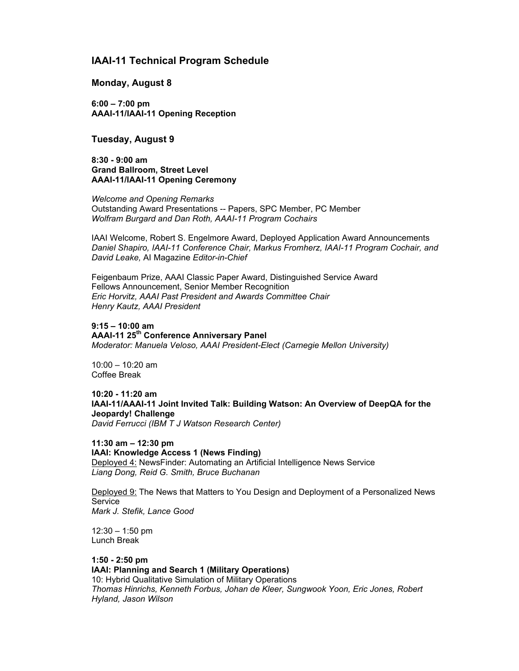# **IAAI-11 Technical Program Schedule**

#### **Monday, August 8**

**6:00 – 7:00 pm AAAI-11/IAAI-11 Opening Reception**

## **Tuesday, August 9**

**8:30 - 9:00 am Grand Ballroom, Street Level AAAI-11/IAAI-11 Opening Ceremony**

*Welcome and Opening Remarks* Outstanding Award Presentations -- Papers, SPC Member, PC Member *Wolfram Burgard and Dan Roth, AAAI-11 Program Cochairs*

IAAI Welcome, Robert S. Engelmore Award, Deployed Application Award Announcements *Daniel Shapiro, IAAI-11 Conference Chair, Markus Fromherz, IAAI-11 Program Cochair, and David Leake,* AI Magazine *Editor-in-Chief*

Feigenbaum Prize, AAAI Classic Paper Award, Distinguished Service Award Fellows Announcement, Senior Member Recognition *Eric Horvitz, AAAI Past President and Awards Committee Chair Henry Kautz, AAAI President*

#### **9:15 – 10:00 am**

**AAAI-11 25th Conference Anniversary Panel** *Moderator: Manuela Veloso, AAAI President-Elect (Carnegie Mellon University)*

10:00 – 10:20 am Coffee Break

**10:20 - 11:20 am IAAI-11/AAAI-11 Joint Invited Talk: Building Watson: An Overview of DeepQA for the Jeopardy! Challenge** *David Ferrucci (IBM T J Watson Research Center)*

**11:30 am – 12:30 pm IAAI: Knowledge Access 1 (News Finding)** Deployed 4: NewsFinder: Automating an Artificial Intelligence News Service *Liang Dong, Reid G. Smith, Bruce Buchanan*

Deployed 9: The News that Matters to You Design and Deployment of a Personalized News **Service** *Mark J. Stefik, Lance Good*

12:30 – 1:50 pm Lunch Break

**1:50 - 2:50 pm IAAI: Planning and Search 1 (Military Operations)** 10: Hybrid Qualitative Simulation of Military Operations *Thomas Hinrichs, Kenneth Forbus, Johan de Kleer, Sungwook Yoon, Eric Jones, Robert Hyland, Jason Wilson*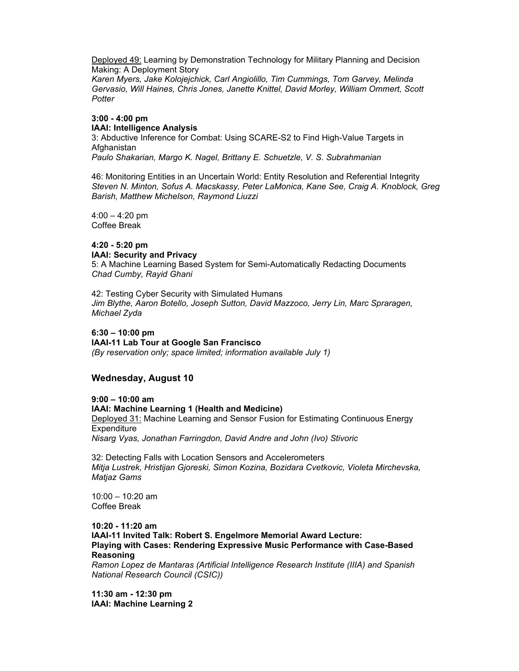Deployed 49: Learning by Demonstration Technology for Military Planning and Decision Making: A Deployment Story

*Karen Myers, Jake Kolojejchick, Carl Angiolillo, Tim Cummings, Tom Garvey, Melinda Gervasio, Will Haines, Chris Jones, Janette Knittel, David Morley, William Ommert, Scott Potter*

## **3:00 - 4:00 pm IAAI: Intelligence Analysis**

3: Abductive Inference for Combat: Using SCARE-S2 to Find High-Value Targets in **Afghanistan** *Paulo Shakarian, Margo K. Nagel, Brittany E. Schuetzle, V. S. Subrahmanian*

46: Monitoring Entities in an Uncertain World: Entity Resolution and Referential Integrity *Steven N. Minton, Sofus A. Macskassy, Peter LaMonica, Kane See, Craig A. Knoblock, Greg Barish, Matthew Michelson, Raymond Liuzzi*

 $4:00 - 4:20$  pm Coffee Break

#### **4:20 - 5:20 pm IAAI: Security and Privacy**

5: A Machine Learning Based System for Semi-Automatically Redacting Documents *Chad Cumby, Rayid Ghani*

42: Testing Cyber Security with Simulated Humans *Jim Blythe, Aaron Botello, Joseph Sutton, David Mazzoco, Jerry Lin, Marc Spraragen, Michael Zyda*

**6:30 – 10:00 pm IAAI-11 Lab Tour at Google San Francisco** *(By reservation only; space limited; information available July 1)*

## **Wednesday, August 10**

**9:00 – 10:00 am**

## **IAAI: Machine Learning 1 (Health and Medicine)**

Deployed 31: Machine Learning and Sensor Fusion for Estimating Continuous Energy **Expenditure** *Nisarg Vyas, Jonathan Farringdon, David Andre and John (Ivo) Stivoric*

32: Detecting Falls with Location Sensors and Accelerometers *Mitja Lustrek, Hristijan Gjoreski, Simon Kozina, Bozidara Cvetkovic, Violeta Mirchevska, Matjaz Gams*

10:00 – 10:20 am Coffee Break

**10:20 - 11:20 am IAAI-11 Invited Talk: Robert S. Engelmore Memorial Award Lecture: Playing with Cases: Rendering Expressive Music Performance with Case-Based Reasoning**

*Ramon Lopez de Mantaras (Artificial Intelligence Research Institute (IIIA) and Spanish National Research Council (CSIC))*

**11:30 am - 12:30 pm IAAI: Machine Learning 2**